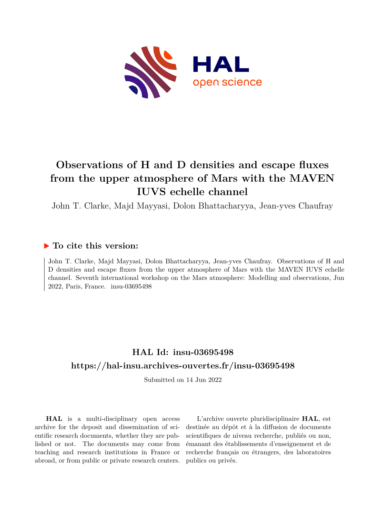

## **Observations of H and D densities and escape fluxes from the upper atmosphere of Mars with the MAVEN IUVS echelle channel**

John T. Clarke, Majd Mayyasi, Dolon Bhattacharyya, Jean-yves Chaufray

## **To cite this version:**

John T. Clarke, Majd Mayyasi, Dolon Bhattacharyya, Jean-yves Chaufray. Observations of H and D densities and escape fluxes from the upper atmosphere of Mars with the MAVEN IUVS echelle channel. Seventh international workshop on the Mars atmosphere: Modelling and observations, Jun 2022, Paris, France. insu-03695498

## **HAL Id: insu-03695498 <https://hal-insu.archives-ouvertes.fr/insu-03695498>**

Submitted on 14 Jun 2022

**HAL** is a multi-disciplinary open access archive for the deposit and dissemination of scientific research documents, whether they are published or not. The documents may come from teaching and research institutions in France or abroad, or from public or private research centers.

L'archive ouverte pluridisciplinaire **HAL**, est destinée au dépôt et à la diffusion de documents scientifiques de niveau recherche, publiés ou non, émanant des établissements d'enseignement et de recherche français ou étrangers, des laboratoires publics ou privés.